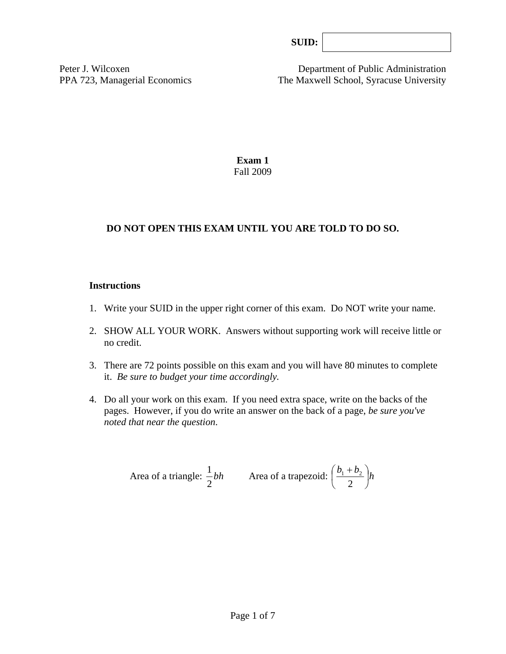Peter J. Wilcoxen Department of Public Administration PPA 723, Managerial Economics The Maxwell School, Syracuse University

> **Exam 1**  Fall 2009

## **DO NOT OPEN THIS EXAM UNTIL YOU ARE TOLD TO DO SO.**

#### **Instructions**

- 1. Write your SUID in the upper right corner of this exam. Do NOT write your name.
- 2. SHOW ALL YOUR WORK. Answers without supporting work will receive little or no credit.
- 3. There are 72 points possible on this exam and you will have 80 minutes to complete it. *Be sure to budget your time accordingly.*
- 4. Do all your work on this exam. If you need extra space, write on the backs of the pages. However, if you do write an answer on the back of a page, *be sure you've noted that near the question*.

Area of a triangle: 
$$
\frac{1}{2}bh
$$
 Area of a trapezoid:  $\left(\frac{b_1 + b_2}{2}\right)h$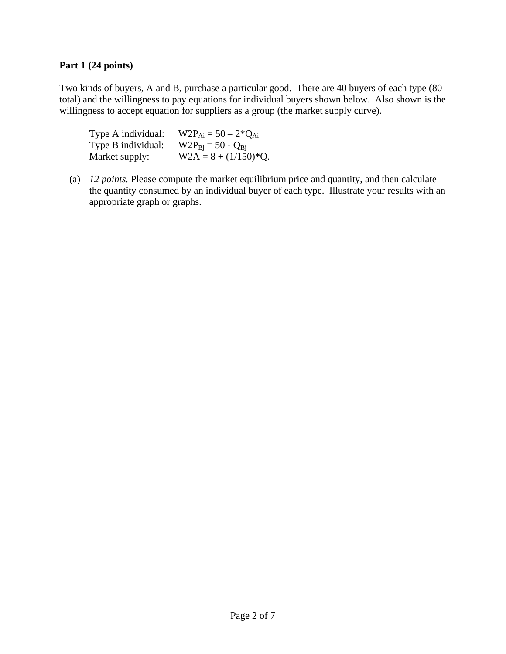### **Part 1 (24 points)**

Two kinds of buyers, A and B, purchase a particular good. There are 40 buyers of each type (80 total) and the willingness to pay equations for individual buyers shown below. Also shown is the willingness to accept equation for suppliers as a group (the market supply curve).

| Type A individual: | $W2P_{Ai} = 50 - 2*Q_{Ai}$ |
|--------------------|----------------------------|
| Type B individual: | $W2P_{Bi} = 50 - Q_{Bi}$   |
| Market supply:     | $W2A = 8 + (1/150)^*Q.$    |

(a) *12 points.* Please compute the market equilibrium price and quantity, and then calculate the quantity consumed by an individual buyer of each type. Illustrate your results with an appropriate graph or graphs.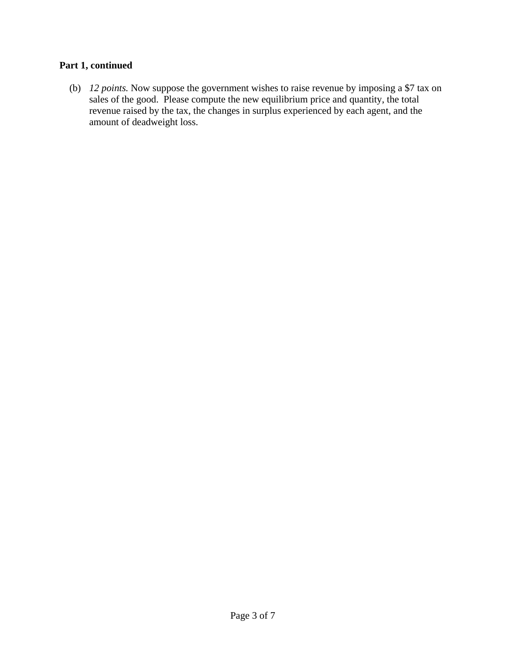# **Part 1, continued**

(b) *12 points.* Now suppose the government wishes to raise revenue by imposing a \$7 tax on sales of the good. Please compute the new equilibrium price and quantity, the total revenue raised by the tax, the changes in surplus experienced by each agent, and the amount of deadweight loss.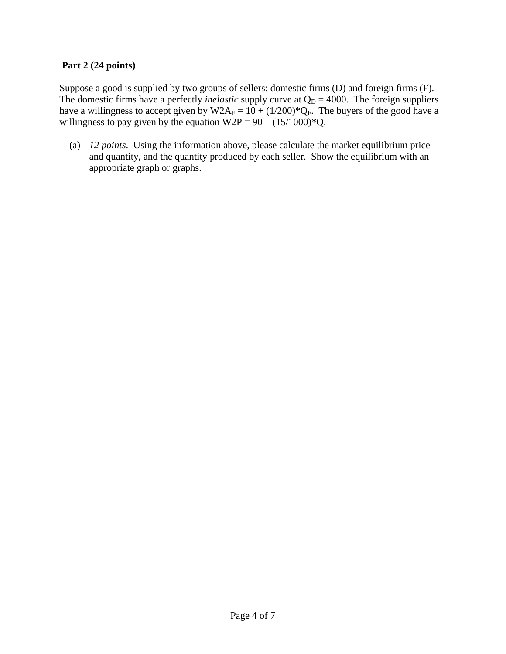## **Part 2 (24 points)**

Suppose a good is supplied by two groups of sellers: domestic firms (D) and foreign firms (F). The domestic firms have a perfectly *inelastic* supply curve at  $Q_D = 4000$ . The foreign suppliers have a willingness to accept given by  $W2A_F = 10 + (1/200)^*Q_F$ . The buyers of the good have a willingness to pay given by the equation  $W2P = 90 - (15/1000)^*Q$ .

 (a) *12 points*. Using the information above, please calculate the market equilibrium price and quantity, and the quantity produced by each seller. Show the equilibrium with an appropriate graph or graphs.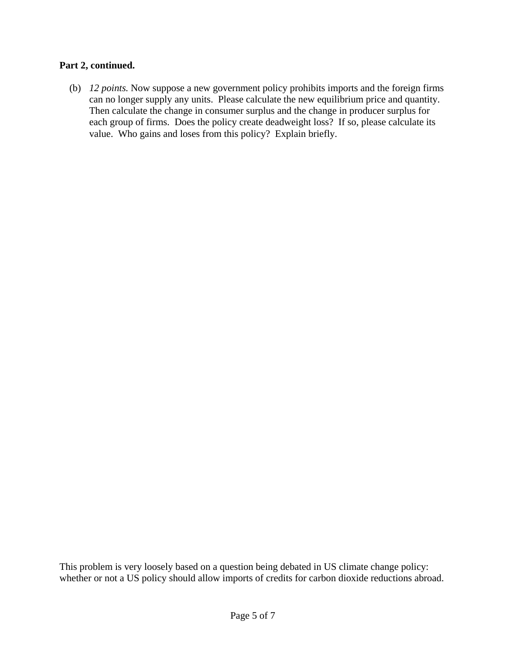#### **Part 2, continued.**

 (b) *12 points.* Now suppose a new government policy prohibits imports and the foreign firms can no longer supply any units. Please calculate the new equilibrium price and quantity. Then calculate the change in consumer surplus and the change in producer surplus for each group of firms. Does the policy create deadweight loss? If so, please calculate its value. Who gains and loses from this policy? Explain briefly.

This problem is very loosely based on a question being debated in US climate change policy: whether or not a US policy should allow imports of credits for carbon dioxide reductions abroad.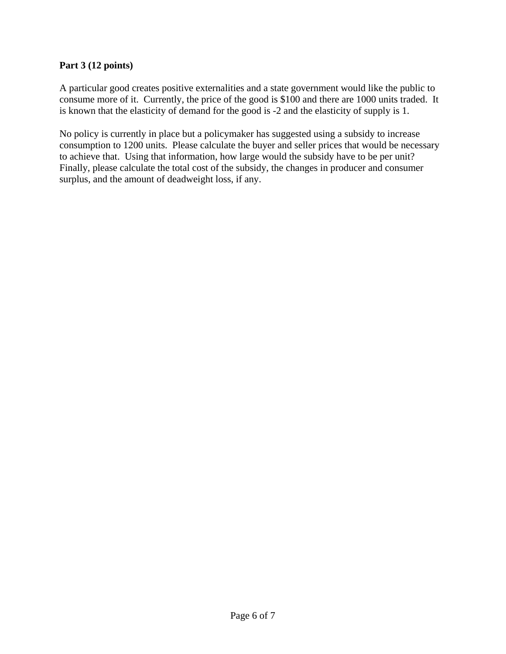## **Part 3 (12 points)**

A particular good creates positive externalities and a state government would like the public to consume more of it. Currently, the price of the good is \$100 and there are 1000 units traded. It is known that the elasticity of demand for the good is -2 and the elasticity of supply is 1.

No policy is currently in place but a policymaker has suggested using a subsidy to increase consumption to 1200 units. Please calculate the buyer and seller prices that would be necessary to achieve that. Using that information, how large would the subsidy have to be per unit? Finally, please calculate the total cost of the subsidy, the changes in producer and consumer surplus, and the amount of deadweight loss, if any.